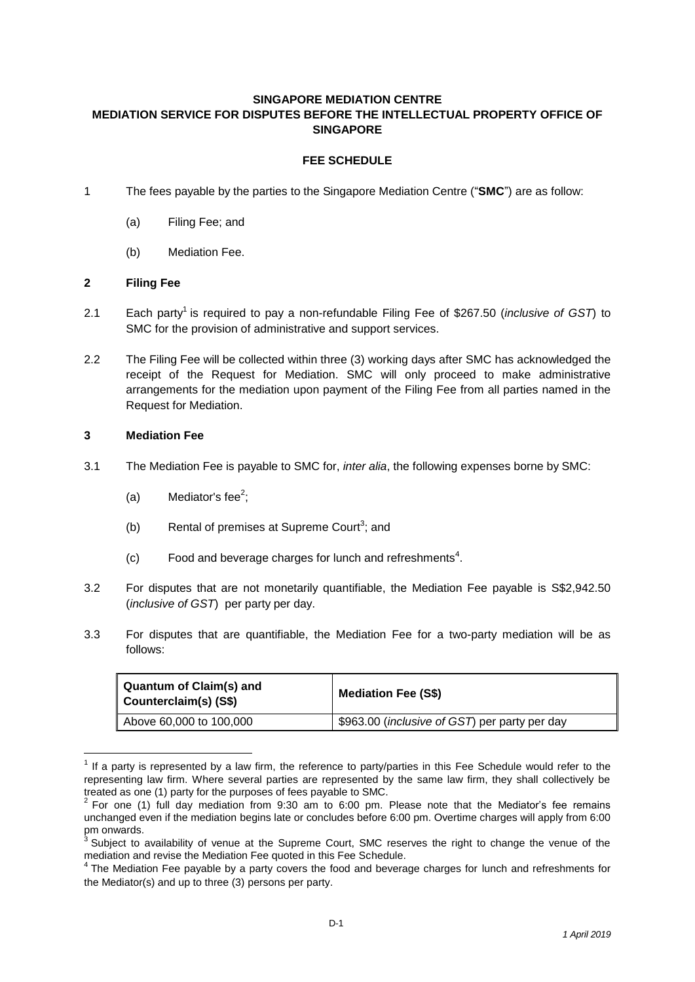### **SINGAPORE MEDIATION CENTRE MEDIATION SERVICE FOR DISPUTES BEFORE THE INTELLECTUAL PROPERTY OFFICE OF SINGAPORE**

# **FEE SCHEDULE**

- 1 The fees payable by the parties to the Singapore Mediation Centre ("**SMC**") are as follow:
	- (a) Filing Fee; and
	- (b) Mediation Fee.

### **2 Filing Fee**

- 2.1 Each party<sup>1</sup> is required to pay a non-refundable Filing Fee of \$267.50 (*inclusive of GST*) to SMC for the provision of administrative and support services.
- 2.2 The Filing Fee will be collected within three (3) working days after SMC has acknowledged the receipt of the Request for Mediation. SMC will only proceed to make administrative arrangements for the mediation upon payment of the Filing Fee from all parties named in the Request for Mediation.

#### **3 Mediation Fee**

1

- 3.1 The Mediation Fee is payable to SMC for, *inter alia*, the following expenses borne by SMC:
	- (a) Mediator's fee<sup>2</sup>;
	- (b) Rental of premises at Supreme Court<sup>3</sup>; and
	- $(c)$  Food and beverage charges for lunch and refreshments<sup>4</sup>.
- 3.2 For disputes that are not monetarily quantifiable, the Mediation Fee payable is S\$2,942.50 (*inclusive of GST*) per party per day.
- 3.3 For disputes that are quantifiable, the Mediation Fee for a two-party mediation will be as follows:

| ∥ Quantum of Claim(s) and<br>Counterclaim(s) (S\$) | <b>Mediation Fee (S\$)</b>                             |
|----------------------------------------------------|--------------------------------------------------------|
| Above 60,000 to 100,000                            | \$963.00 ( <i>inclusive of GST</i> ) per party per day |

 $1$  If a party is represented by a law firm, the reference to party/parties in this Fee Schedule would refer to the representing law firm. Where several parties are represented by the same law firm, they shall collectively be treated as one (1) party for the purposes of fees payable to SMC.

 $2$  For one (1) full day mediation from 9:30 am to 6:00 pm. Please note that the Mediator's fee remains unchanged even if the mediation begins late or concludes before 6:00 pm. Overtime charges will apply from 6:00 pm onwards.<br><sup>3</sup> Subject to availability of venue at the Supreme Court, SMC reserves the right to change the venue of the

mediation and revise the Mediation Fee quoted in this Fee Schedule.<br><sup>4</sup> The Mediation Fee payable by a party covers the food and beverage charges for lunch and refreshments for

the Mediator(s) and up to three (3) persons per party.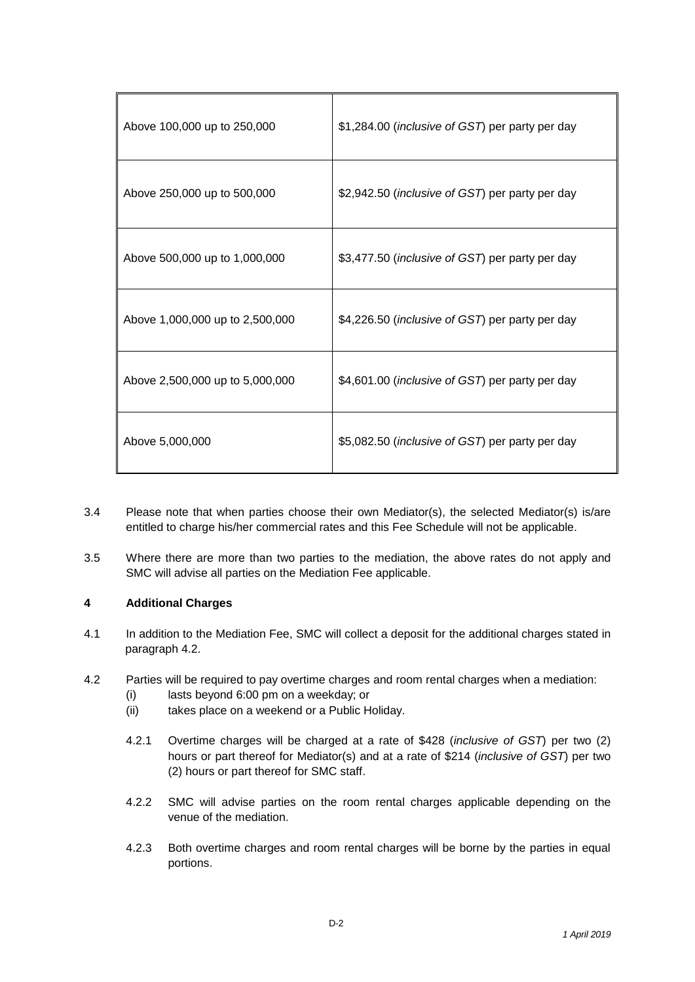| Above 100,000 up to 250,000     | \$1,284.00 (inclusive of GST) per party per day          |
|---------------------------------|----------------------------------------------------------|
| Above 250,000 up to 500,000     | \$2,942.50 (inclusive of GST) per party per day          |
| Above 500,000 up to 1,000,000   | \$3,477.50 (inclusive of GST) per party per day          |
| Above 1,000,000 up to 2,500,000 | \$4,226.50 ( <i>inclusive of GST</i> ) per party per day |
| Above 2,500,000 up to 5,000,000 | \$4,601.00 ( <i>inclusive of GST</i> ) per party per day |
| Above 5,000,000                 | \$5,082.50 ( <i>inclusive of GST</i> ) per party per day |

- 3.4 Please note that when parties choose their own Mediator(s), the selected Mediator(s) is/are entitled to charge his/her commercial rates and this Fee Schedule will not be applicable.
- 3.5 Where there are more than two parties to the mediation, the above rates do not apply and SMC will advise all parties on the Mediation Fee applicable.

### **4 Additional Charges**

- 4.1 In addition to the Mediation Fee, SMC will collect a deposit for the additional charges stated in paragraph 4.2.
- 4.2 Parties will be required to pay overtime charges and room rental charges when a mediation:
	- (i) lasts beyond 6:00 pm on a weekday; or
	- (ii) takes place on a weekend or a Public Holiday.
	- 4.2.1 Overtime charges will be charged at a rate of \$428 (*inclusive of GST*) per two (2) hours or part thereof for Mediator(s) and at a rate of \$214 (*inclusive of GST*) per two (2) hours or part thereof for SMC staff.
	- 4.2.2 SMC will advise parties on the room rental charges applicable depending on the venue of the mediation.
	- 4.2.3 Both overtime charges and room rental charges will be borne by the parties in equal portions.